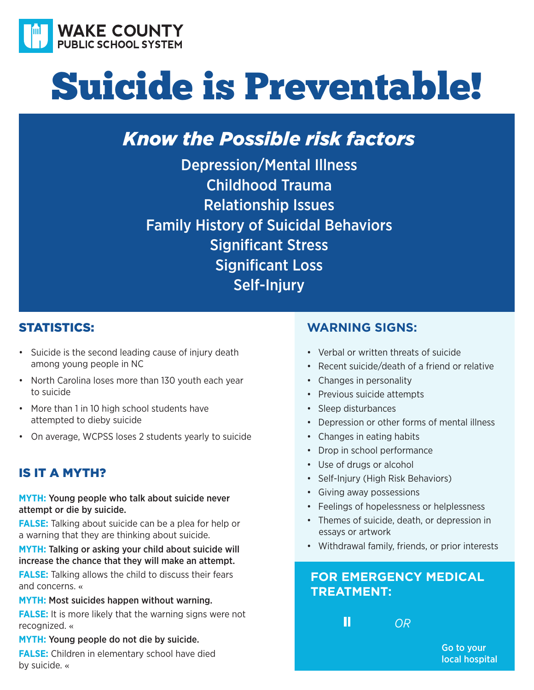

# Suicide is Preventable!

## *Know the Possible risk factors*

Depression/Mental Illness Childhood Trauma Relationship Issues Family History of Suicidal Behaviors Significant Stress Significant Loss Self-Injury

## **STATISTICS:**

- Suicide is the second leading cause of injury death among young people in NC
- North Carolina loses more than 130 youth each year to suicide
- More than 1 in 10 high school students have attempted to dieby suicide
- On average, WCPSS loses 2 students yearly to suicide

## iS it a myth?

**MYTH:** Young people who talk about suicide never attempt or die by suicide.

**FALSE:** Talking about suicide can be a plea for help or a warning that they are thinking about suicide.

**MYTH:** Talking or asking your child about suicide will increase the chance that they will make an attempt.

**FALSE:** Talking allows the child to discuss their fears and concerns. «

**MYTH:** Most suicides happen without warning.

**FALSE:** It is more likely that the warning signs were not recognized. «

#### **MYTH:** Young people do not die by suicide.

**FALSE:** Children in elementary school have died by suicide. «

## **Warning signs:**

- Verbal or written threats of suicide
- Recent suicide/death of a friend or relative
- Changes in personality
- Previous suicide attempts
- Sleep disturbances
- Depression or other forms of mental illness
- Changes in eating habits
- Drop in school performance
- Use of drugs or alcohol
- Self-Injury (High Risk Behaviors)
- Giving away possessions
- Feelings of hopelessness or helplessness
- Themes of suicide, death, or depression in essays or artwork
- Withdrawal family, friends, or prior interests

## **For EmErgEncy mEdical TrEaTmEnT:**

Ш

*OR* 

Go to your local hospital